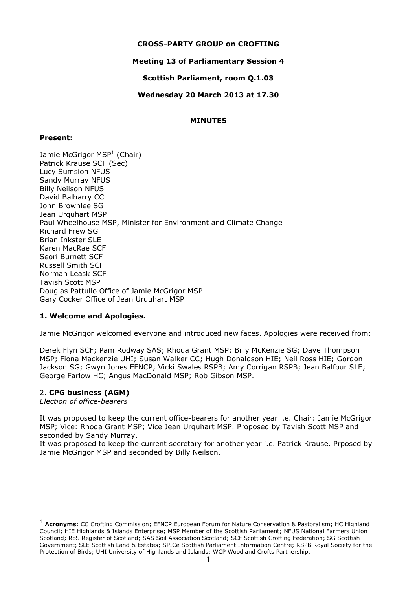## **CROSS-PARTY GROUP on CROFTING**

## **Meeting 13 of Parliamentary Session 4**

**Scottish Parliament, room Q.1.03**

**Wednesday 20 March 2013 at 17.30**

## **MINUTES**

#### **Present:**

Jamie McGrigor MSP<sup>1</sup> (Chair) Patrick Krause SCF (Sec) Lucy Sumsion NFUS Sandy Murray NFUS Billy Neilson NFUS David Balharry CC John Brownlee SG Jean Urquhart MSP Paul Wheelhouse MSP, Minister for Environment and Climate Change Richard Frew SG Brian Inkster SLE Karen MacRae SCF Seori Burnett SCF Russell Smith SCF Norman Leask SCF Tavish Scott MSP Douglas Pattullo Office of Jamie McGrigor MSP Gary Cocker Office of Jean Urquhart MSP

## **1. Welcome and Apologies.**

Jamie McGrigor welcomed everyone and introduced new faces. Apologies were received from:

Derek Flyn SCF; Pam Rodway SAS; Rhoda Grant MSP; Billy McKenzie SG; Dave Thompson MSP; Fiona Mackenzie UHI; Susan Walker CC; Hugh Donaldson HIE; Neil Ross HIE; Gordon Jackson SG; Gwyn Jones EFNCP; Vicki Swales RSPB; Amy Corrigan RSPB; Jean Balfour SLE; George Farlow HC; Angus MacDonald MSP; Rob Gibson MSP.

#### 2. **CPG business (AGM)**

*Election of office-bearers*

-

It was proposed to keep the current office-bearers for another year i.e. Chair: Jamie McGrigor MSP; Vice: Rhoda Grant MSP; Vice Jean Urquhart MSP. Proposed by Tavish Scott MSP and seconded by Sandy Murray.

It was proposed to keep the current secretary for another year i.e. Patrick Krause. Prposed by Jamie McGrigor MSP and seconded by Billy Neilson.

<sup>1</sup> **Acronyms**: CC Crofting Commission; EFNCP European Forum for Nature Conservation & Pastoralism; HC Highland Council; HIE Highlands & Islands Enterprise; MSP Member of the Scottish Parliament; NFUS National Farmers Union Scotland; RoS Register of Scotland; SAS Soil Association Scotland; SCF Scottish Crofting Federation; SG Scottish Government; SLE Scottish Land & Estates; SPICe Scottish Parliament Information Centre; RSPB Royal Society for the Protection of Birds; UHI University of Highlands and Islands; WCP Woodland Crofts Partnership.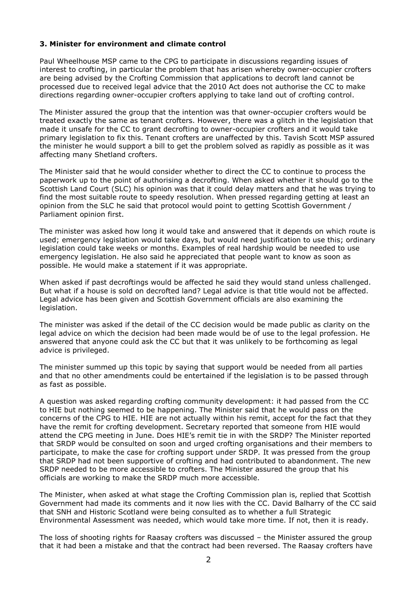#### **3. Minister for environment and climate control**

Paul Wheelhouse MSP came to the CPG to participate in discussions regarding issues of interest to crofting, in particular the problem that has arisen whereby owner-occupier crofters are being advised by the Crofting Commission that applications to decroft land cannot be processed due to received legal advice that the 2010 Act does not authorise the CC to make directions regarding owner-occupier crofters applying to take land out of crofting control.

The Minister assured the group that the intention was that owner-occupier crofters would be treated exactly the same as tenant crofters. However, there was a glitch in the legislation that made it unsafe for the CC to grant decrofting to owner-occupier crofters and it would take primary legislation to fix this. Tenant crofters are unaffected by this. Tavish Scott MSP assured the minister he would support a bill to get the problem solved as rapidly as possible as it was affecting many Shetland crofters.

The Minister said that he would consider whether to direct the CC to continue to process the paperwork up to the point of authorising a decrofting. When asked whether it should go to the Scottish Land Court (SLC) his opinion was that it could delay matters and that he was trying to find the most suitable route to speedy resolution. When pressed regarding getting at least an opinion from the SLC he said that protocol would point to getting Scottish Government / Parliament opinion first.

The minister was asked how long it would take and answered that it depends on which route is used; emergency legislation would take days, but would need justification to use this; ordinary legislation could take weeks or months. Examples of real hardship would be needed to use emergency legislation. He also said he appreciated that people want to know as soon as possible. He would make a statement if it was appropriate.

When asked if past decroftings would be affected he said they would stand unless challenged. But what if a house is sold on decrofted land? Legal advice is that title would not be affected. Legal advice has been given and Scottish Government officials are also examining the legislation.

The minister was asked if the detail of the CC decision would be made public as clarity on the legal advice on which the decision had been made would be of use to the legal profession. He answered that anyone could ask the CC but that it was unlikely to be forthcoming as legal advice is privileged.

The minister summed up this topic by saying that support would be needed from all parties and that no other amendments could be entertained if the legislation is to be passed through as fast as possible.

A question was asked regarding crofting community development: it had passed from the CC to HIE but nothing seemed to be happening. The Minister said that he would pass on the concerns of the CPG to HIE. HIE are not actually within his remit, accept for the fact that they have the remit for crofting development. Secretary reported that someone from HIE would attend the CPG meeting in June. Does HIE's remit tie in with the SRDP? The Minister reported that SRDP would be consulted on soon and urged crofting organisations and their members to participate, to make the case for crofting support under SRDP. It was pressed from the group that SRDP had not been supportive of crofting and had contributed to abandonment. The new SRDP needed to be more accessible to crofters. The Minister assured the group that his officials are working to make the SRDP much more accessible.

The Minister, when asked at what stage the Crofting Commission plan is, replied that Scottish Government had made its comments and it now lies with the CC. David Balharry of the CC said that SNH and Historic Scotland were being consulted as to whether a full Strategic Environmental Assessment was needed, which would take more time. If not, then it is ready.

The loss of shooting rights for Raasay crofters was discussed – the Minister assured the group that it had been a mistake and that the contract had been reversed. The Raasay crofters have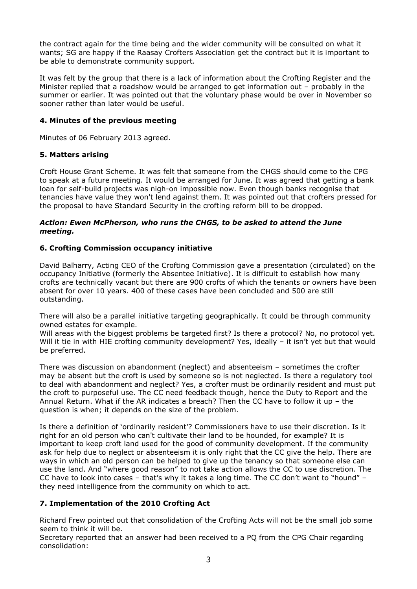the contract again for the time being and the wider community will be consulted on what it wants; SG are happy if the Raasay Crofters Association get the contract but it is important to be able to demonstrate community support.

It was felt by the group that there is a lack of information about the Crofting Register and the Minister replied that a roadshow would be arranged to get information out – probably in the summer or earlier. It was pointed out that the voluntary phase would be over in November so sooner rather than later would be useful.

## **4. Minutes of the previous meeting**

Minutes of 06 February 2013 agreed.

# **5. Matters arising**

Croft House Grant Scheme. It was felt that someone from the CHGS should come to the CPG to speak at a future meeting. It would be arranged for June. It was agreed that getting a bank loan for self-build projects was nigh-on impossible now. Even though banks recognise that tenancies have value they won't lend against them. It was pointed out that crofters pressed for the proposal to have Standard Security in the crofting reform bill to be dropped.

#### *Action: Ewen McPherson, who runs the CHGS, to be asked to attend the June meeting.*

# **6. Crofting Commission occupancy initiative**

David Balharry, Acting CEO of the Crofting Commission gave a presentation (circulated) on the occupancy Initiative (formerly the Absentee Initiative). It is difficult to establish how many crofts are technically vacant but there are 900 crofts of which the tenants or owners have been absent for over 10 years. 400 of these cases have been concluded and 500 are still outstanding.

There will also be a parallel initiative targeting geographically. It could be through community owned estates for example.

Will areas with the biggest problems be targeted first? Is there a protocol? No, no protocol yet. Will it tie in with HIE crofting community development? Yes, ideally - it isn't yet but that would be preferred.

There was discussion on abandonment (neglect) and absenteeism – sometimes the crofter may be absent but the croft is used by someone so is not neglected. Is there a regulatory tool to deal with abandonment and neglect? Yes, a crofter must be ordinarily resident and must put the croft to purposeful use. The CC need feedback though, hence the Duty to Report and the Annual Return. What if the AR indicates a breach? Then the CC have to follow it up – the question is when; it depends on the size of the problem.

Is there a definition of 'ordinarily resident'? Commissioners have to use their discretion. Is it right for an old person who can't cultivate their land to be hounded, for example? It is important to keep croft land used for the good of community development. If the community ask for help due to neglect or absenteeism it is only right that the CC give the help. There are ways in which an old person can be helped to give up the tenancy so that someone else can use the land. And "where good reason" to not take action allows the CC to use discretion. The CC have to look into cases – that's why it takes a long time. The CC don't want to "hound" – they need intelligence from the community on which to act.

# **7. Implementation of the 2010 Crofting Act**

Richard Frew pointed out that consolidation of the Crofting Acts will not be the small job some seem to think it will be.

Secretary reported that an answer had been received to a PQ from the CPG Chair regarding consolidation: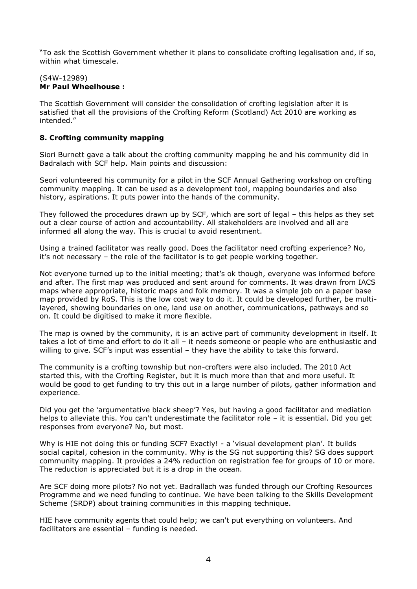"To ask the Scottish Government whether it plans to consolidate crofting legalisation and, if so, within what timescale.

#### (S4W-12989) **Mr Paul Wheelhouse :**

The Scottish Government will consider the consolidation of crofting legislation after it is satisfied that all the provisions of the Crofting Reform (Scotland) Act 2010 are working as intended."

## **8. Crofting community mapping**

Siori Burnett gave a talk about the crofting community mapping he and his community did in Badralach with SCF help. Main points and discussion:

Seori volunteered his community for a pilot in the SCF Annual Gathering workshop on crofting community mapping. It can be used as a development tool, mapping boundaries and also history, aspirations. It puts power into the hands of the community.

They followed the procedures drawn up by SCF, which are sort of legal – this helps as they set out a clear course of action and accountability. All stakeholders are involved and all are informed all along the way. This is crucial to avoid resentment.

Using a trained facilitator was really good. Does the facilitator need crofting experience? No, it's not necessary – the role of the facilitator is to get people working together.

Not everyone turned up to the initial meeting; that's ok though, everyone was informed before and after. The first map was produced and sent around for comments. It was drawn from IACS maps where appropriate, historic maps and folk memory. It was a simple job on a paper base map provided by RoS. This is the low cost way to do it. It could be developed further, be multilayered, showing boundaries on one, land use on another, communications, pathways and so on. It could be digitised to make it more flexible.

The map is owned by the community, it is an active part of community development in itself. It takes a lot of time and effort to do it all – it needs someone or people who are enthusiastic and willing to give. SCF's input was essential - they have the ability to take this forward.

The community is a crofting township but non-crofters were also included. The 2010 Act started this, with the Crofting Register, but it is much more than that and more useful. It would be good to get funding to try this out in a large number of pilots, gather information and experience.

Did you get the 'argumentative black sheep'? Yes, but having a good facilitator and mediation helps to alleviate this. You can't underestimate the facilitator role – it is essential. Did you get responses from everyone? No, but most.

Why is HIE not doing this or funding SCF? Exactly! - a 'visual development plan'. It builds social capital, cohesion in the community. Why is the SG not supporting this? SG does support community mapping. It provides a 24% reduction on registration fee for groups of 10 or more. The reduction is appreciated but it is a drop in the ocean.

Are SCF doing more pilots? No not yet. Badrallach was funded through our Crofting Resources Programme and we need funding to continue. We have been talking to the Skills Development Scheme (SRDP) about training communities in this mapping technique.

HIE have community agents that could help; we can't put everything on volunteers. And facilitators are essential – funding is needed.